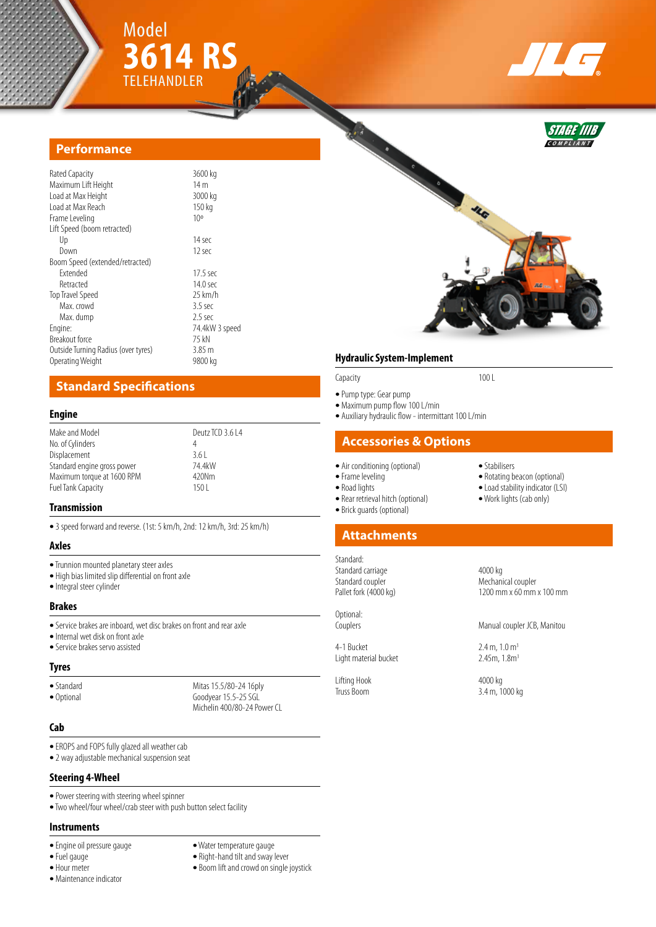



STAGE IIIB **C O M P L I A N T**



| Rated Capacity                      | 3600 kg         |
|-------------------------------------|-----------------|
| Maximum Lift Height                 | 14 <sub>m</sub> |
| Load at Max Height                  | 3000 kg         |
| Load at Max Reach                   | 150 kg          |
| Frame Leveling                      | 10 <sup>o</sup> |
| Lift Speed (boom retracted)         |                 |
| Up                                  | 14 sec          |
| Down                                | 12 sec          |
| Boom Speed (extended/retracted)     |                 |
| <b>Fxtended</b>                     | $17.5$ sec      |
| Retracted                           | 14.0 sec        |
| Top Travel Speed                    | $25$ km/h       |
| Max. crowd                          | $3.5$ sec       |
| Max. dump                           | $2.5$ sec       |
| Engine:                             | 74.4kW 3 speed  |
| Breakout force                      | 75 kN           |
| Outside Turning Radius (over tyres) | 3.85 m          |
| Operating Weight                    | 9800 kg         |
|                                     |                 |

# **Standard Specifications**

#### **Engine**

| Make and Model              | Deutz TCD 3.6 L4 |
|-----------------------------|------------------|
| No. of Cylinders            | 4                |
| Displacement                | 3.61             |
| Standard engine gross power | 74.4kW           |
| Maximum torque at 1600 RPM  | 420Nm            |
| <b>Fuel Tank Capacity</b>   | 150 L            |
|                             |                  |

## **Transmission**

**•** 3 speed forward and reverse. (1st: 5 km/h, 2nd: 12 km/h, 3rd: 25 km/h)

#### **Axles**

- **•** Trunnion mounted planetary steer axles
- **•** High bias limited slip differential on front axle
- **•** Integral steer cylinder

#### **Brakes**

- **•** Service brakes are inboard, wet disc brakes on front and rear axle
- **•** Internal wet disk on front axle
- **•** Service brakes servo assisted

## **Tyres**

• Standard Mitas 15.5/80-24 16ply<br>• Optional Goodvear 15.5-25 SGL Goodyear 15.5-25 SGL Michelin 400/80-24 Power CL

## **Cab**

- **•** EROPS and FOPS fully glazed all weather cab
- **•** 2 way adjustable mechanical suspension seat
- **Steering 4-Wheel**
- **•** Power steering with steering wheel spinner
- **•** Two wheel/four wheel/crab steer with push button select facility

#### **Instruments**

- 
- 
- 
- **•** Maintenance indicator
- **•** Engine oil pressure gauge **•** Water temperature gauge
	- Right-hand tilt and sway lever
- **•** Hour meter **•** Boom lift and crowd on single joystick

## **Hydraulic System-Implement**

**•** Pump type: Gear pump

- **•** Maximum pump flow 100 L/min
- **•** Auxiliary hydraulic flow intermittant 100 L/min

Capacity 100 L

## **Accessories & Options**

- Air conditioning (optional) Stabilisers<br>• Frame leveling **•** Rotating b
	-
	-
	- Rear retrieval hitch (optional)
	- **•** Brick guards (optional)

# **Attachments**

Standard: Standard carriage 1986 and 4000 kg<br>
1986 Standard coupler Standard coupler Mechanical coupler<br>
Pallet fork (4000 kg) 1200 mm x 60 mm

Optional:

Light material bucket

Lifting Hook 4000 kg<br>Truss Boom 3.4 m, 1

- Frame leveling **• Frame leveling • Conserved Beacon • Conserved Beacon • Conserved Beacon • Conserved Beacon • Conserved Beacon • Conserved Beacon • Conserved Beacon • Conserved Beacon**
	- Load stability indicator (LSI)<br>• Work lights (cab only)
	-
	-

1200 mm x 60 mm x 100 mm

Couplers Manual coupler JCB, Manitou

4-1 Bucket 2.4 m,  $1.0 \text{ m}^3$ <br>
Light material bucket 2.45m,  $1.8 \text{ m}^3$ 

3.4 m, 1000 kg